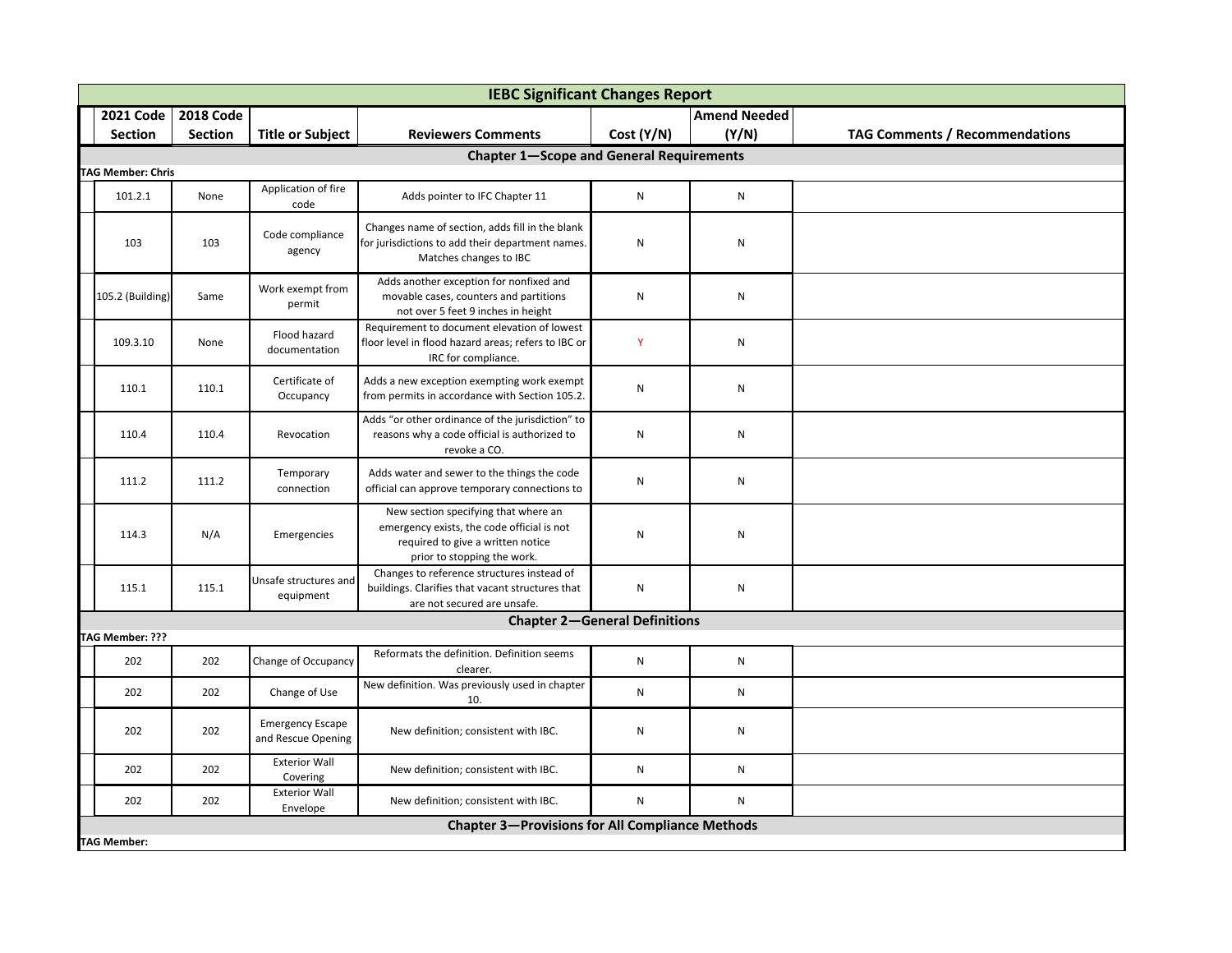|                          | <b>IEBC Significant Changes Report</b> |                                               |                                                                                                                                                        |                                      |                     |                                       |  |  |  |  |
|--------------------------|----------------------------------------|-----------------------------------------------|--------------------------------------------------------------------------------------------------------------------------------------------------------|--------------------------------------|---------------------|---------------------------------------|--|--|--|--|
| <b>2021 Code</b>         | <b>2018 Code</b>                       |                                               |                                                                                                                                                        |                                      | <b>Amend Needed</b> |                                       |  |  |  |  |
| <b>Section</b>           | <b>Section</b>                         | <b>Title or Subject</b>                       | <b>Reviewers Comments</b>                                                                                                                              | Cost (Y/N)                           | (Y/N)               | <b>TAG Comments / Recommendations</b> |  |  |  |  |
|                          |                                        |                                               | <b>Chapter 1-Scope and General Requirements</b>                                                                                                        |                                      |                     |                                       |  |  |  |  |
| <b>TAG Member: Chris</b> |                                        |                                               |                                                                                                                                                        |                                      |                     |                                       |  |  |  |  |
| 101.2.1                  | None                                   | Application of fire<br>code                   | Adds pointer to IFC Chapter 11                                                                                                                         | ${\sf N}$                            | ${\sf N}$           |                                       |  |  |  |  |
| 103                      | 103                                    | Code compliance<br>agency                     | Changes name of section, adds fill in the blank<br>for jurisdictions to add their department names.<br>Matches changes to IBC                          | N                                    | ${\sf N}$           |                                       |  |  |  |  |
| 105.2 (Building)         | Same                                   | Work exempt from<br>permit                    | Adds another exception for nonfixed and<br>movable cases, counters and partitions<br>not over 5 feet 9 inches in height                                | N                                    | ${\sf N}$           |                                       |  |  |  |  |
| 109.3.10                 | None                                   | Flood hazard<br>documentation                 | Requirement to document elevation of lowest<br>floor level in flood hazard areas; refers to IBC or<br>IRC for compliance.                              | Y                                    | ${\sf N}$           |                                       |  |  |  |  |
| 110.1                    | 110.1                                  | Certificate of<br>Occupancy                   | Adds a new exception exempting work exempt<br>from permits in accordance with Section 105.2.                                                           | N                                    | ${\sf N}$           |                                       |  |  |  |  |
| 110.4                    | 110.4                                  | Revocation                                    | Adds "or other ordinance of the jurisdiction" to<br>reasons why a code official is authorized to<br>revoke a CO.                                       | N                                    | ${\sf N}$           |                                       |  |  |  |  |
| 111.2                    | 111.2                                  | Temporary<br>connection                       | Adds water and sewer to the things the code<br>official can approve temporary connections to                                                           | N                                    | ${\sf N}$           |                                       |  |  |  |  |
| 114.3                    | N/A                                    | Emergencies                                   | New section specifying that where an<br>emergency exists, the code official is not<br>required to give a written notice<br>prior to stopping the work. | N                                    | ${\sf N}$           |                                       |  |  |  |  |
| 115.1                    | 115.1                                  | Unsafe structures and<br>equipment            | Changes to reference structures instead of<br>buildings. Clarifies that vacant structures that<br>are not secured are unsafe.                          | N                                    | ${\sf N}$           |                                       |  |  |  |  |
|                          |                                        |                                               |                                                                                                                                                        | <b>Chapter 2-General Definitions</b> |                     |                                       |  |  |  |  |
| TAG Member: ???          |                                        |                                               |                                                                                                                                                        |                                      |                     |                                       |  |  |  |  |
| 202                      | 202                                    | Change of Occupancy                           | Reformats the definition. Definition seems<br>clearer.                                                                                                 | N                                    | ${\sf N}$           |                                       |  |  |  |  |
| 202                      | 202                                    | Change of Use                                 | New definition. Was previously used in chapter<br>10.                                                                                                  | N                                    | ${\sf N}$           |                                       |  |  |  |  |
| 202                      | 202                                    | <b>Emergency Escape</b><br>and Rescue Opening | New definition; consistent with IBC.                                                                                                                   | N                                    | ${\sf N}$           |                                       |  |  |  |  |
| 202                      | 202                                    | <b>Exterior Wall</b><br>Covering              | New definition; consistent with IBC.                                                                                                                   | N                                    | N                   |                                       |  |  |  |  |
| 202                      | 202                                    | <b>Exterior Wall</b><br>Envelope              | New definition; consistent with IBC.                                                                                                                   | N                                    | $\mathsf{N}$        |                                       |  |  |  |  |
| <b>TAG Member:</b>       |                                        |                                               | <b>Chapter 3-Provisions for All Compliance Methods</b>                                                                                                 |                                      |                     |                                       |  |  |  |  |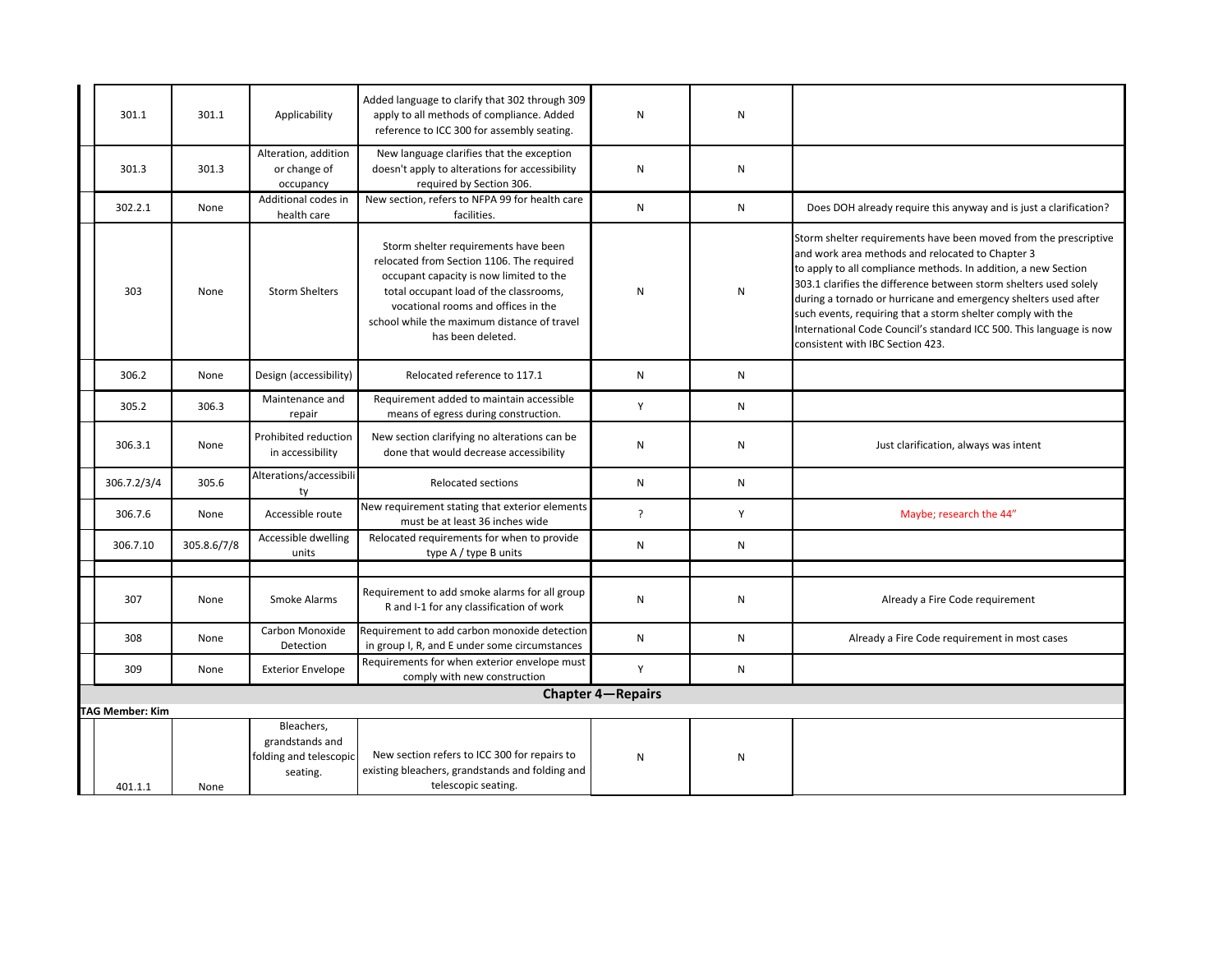| 301.1                  | 301.1       | Applicability                                                       | Added language to clarify that 302 through 309<br>apply to all methods of compliance. Added<br>reference to ICC 300 for assembly seating.                                                                                                                                         | ${\sf N}$                | ${\sf N}$    |                                                                                                                                                                                                                                                                                                                                                                                                                                                                                                          |
|------------------------|-------------|---------------------------------------------------------------------|-----------------------------------------------------------------------------------------------------------------------------------------------------------------------------------------------------------------------------------------------------------------------------------|--------------------------|--------------|----------------------------------------------------------------------------------------------------------------------------------------------------------------------------------------------------------------------------------------------------------------------------------------------------------------------------------------------------------------------------------------------------------------------------------------------------------------------------------------------------------|
| 301.3                  | 301.3       | Alteration, addition<br>or change of<br>occupancy                   | New language clarifies that the exception<br>doesn't apply to alterations for accessibility<br>required by Section 306.                                                                                                                                                           | N                        | ${\sf N}$    |                                                                                                                                                                                                                                                                                                                                                                                                                                                                                                          |
| 302.2.1                | None        | Additional codes in<br>health care                                  | New section, refers to NFPA 99 for health care<br>facilities.                                                                                                                                                                                                                     | N                        | N            | Does DOH already require this anyway and is just a clarification?                                                                                                                                                                                                                                                                                                                                                                                                                                        |
| 303                    | None        | <b>Storm Shelters</b>                                               | Storm shelter requirements have been<br>relocated from Section 1106. The required<br>occupant capacity is now limited to the<br>total occupant load of the classrooms,<br>vocational rooms and offices in the<br>school while the maximum distance of travel<br>has been deleted. | N                        | $\mathsf{N}$ | Storm shelter requirements have been moved from the prescriptive<br>and work area methods and relocated to Chapter 3<br>to apply to all compliance methods. In addition, a new Section<br>303.1 clarifies the difference between storm shelters used solely<br>during a tornado or hurricane and emergency shelters used after<br>such events, requiring that a storm shelter comply with the<br>International Code Council's standard ICC 500. This language is now<br>consistent with IBC Section 423. |
| 306.2                  | None        | Design (accessibility)                                              | Relocated reference to 117.1                                                                                                                                                                                                                                                      | N                        | $\mathsf{N}$ |                                                                                                                                                                                                                                                                                                                                                                                                                                                                                                          |
| 305.2                  | 306.3       | Maintenance and<br>repair                                           | Requirement added to maintain accessible<br>means of egress during construction.                                                                                                                                                                                                  | Y                        | N            |                                                                                                                                                                                                                                                                                                                                                                                                                                                                                                          |
| 306.3.1                | None        | Prohibited reduction<br>in accessibility                            | New section clarifying no alterations can be<br>done that would decrease accessibility                                                                                                                                                                                            | ${\sf N}$                | N            | Just clarification, always was intent                                                                                                                                                                                                                                                                                                                                                                                                                                                                    |
| 306.7.2/3/4            | 305.6       | Alterations/accessibili<br>ty                                       | <b>Relocated sections</b>                                                                                                                                                                                                                                                         | N                        | N            |                                                                                                                                                                                                                                                                                                                                                                                                                                                                                                          |
| 306.7.6                | None        | Accessible route                                                    | New requirement stating that exterior elements<br>must be at least 36 inches wide                                                                                                                                                                                                 | $\cdot$                  | Y            | Maybe; research the 44"                                                                                                                                                                                                                                                                                                                                                                                                                                                                                  |
| 306.7.10               | 305.8.6/7/8 | Accessible dwelling<br>units                                        | Relocated requirements for when to provide<br>type A / type B units                                                                                                                                                                                                               | N                        | N            |                                                                                                                                                                                                                                                                                                                                                                                                                                                                                                          |
|                        |             |                                                                     |                                                                                                                                                                                                                                                                                   |                          |              |                                                                                                                                                                                                                                                                                                                                                                                                                                                                                                          |
| 307                    | None        | Smoke Alarms                                                        | Requirement to add smoke alarms for all group<br>R and I-1 for any classification of work                                                                                                                                                                                         | N                        | $\mathsf{N}$ | Already a Fire Code requirement                                                                                                                                                                                                                                                                                                                                                                                                                                                                          |
| 308                    | None        | Carbon Monoxide<br>Detection                                        | Requirement to add carbon monoxide detection<br>in group I, R, and E under some circumstances                                                                                                                                                                                     | N                        | N            | Already a Fire Code requirement in most cases                                                                                                                                                                                                                                                                                                                                                                                                                                                            |
| 309                    | None        | <b>Exterior Envelope</b>                                            | Requirements for when exterior envelope must<br>comply with new construction                                                                                                                                                                                                      | Y                        | N            |                                                                                                                                                                                                                                                                                                                                                                                                                                                                                                          |
|                        |             |                                                                     |                                                                                                                                                                                                                                                                                   | <b>Chapter 4-Repairs</b> |              |                                                                                                                                                                                                                                                                                                                                                                                                                                                                                                          |
| <b>TAG Member: Kim</b> |             |                                                                     |                                                                                                                                                                                                                                                                                   |                          |              |                                                                                                                                                                                                                                                                                                                                                                                                                                                                                                          |
| 401.1.1                | None        | Bleachers.<br>grandstands and<br>folding and telescopic<br>seating. | New section refers to ICC 300 for repairs to<br>existing bleachers, grandstands and folding and<br>telescopic seating.                                                                                                                                                            | $\mathsf{N}$             | N            |                                                                                                                                                                                                                                                                                                                                                                                                                                                                                                          |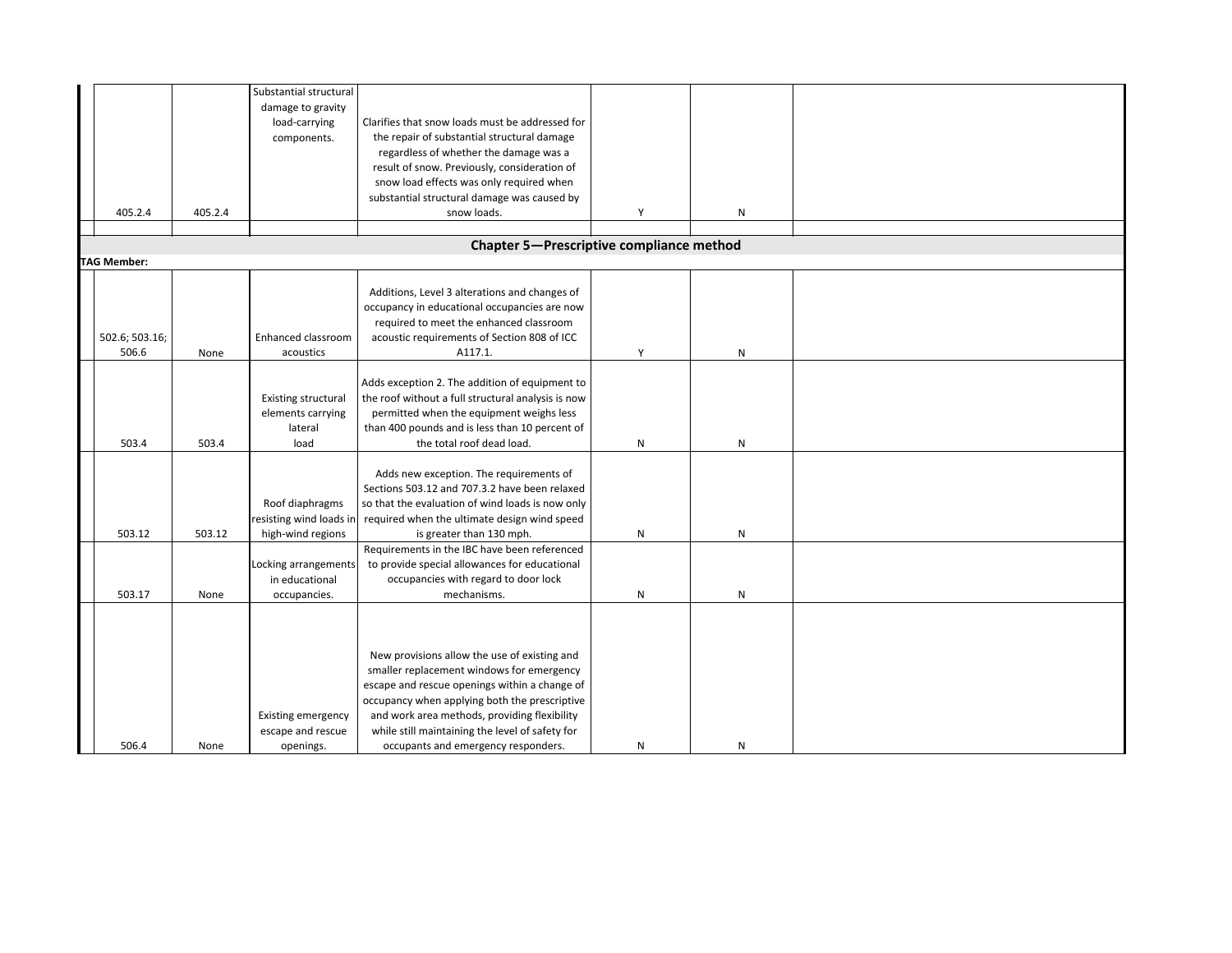|                    |         | Substantial structural     |                                                    |   |              |  |
|--------------------|---------|----------------------------|----------------------------------------------------|---|--------------|--|
|                    |         | damage to gravity          |                                                    |   |              |  |
|                    |         | load-carrying              | Clarifies that snow loads must be addressed for    |   |              |  |
|                    |         | components.                | the repair of substantial structural damage        |   |              |  |
|                    |         |                            | regardless of whether the damage was a             |   |              |  |
|                    |         |                            | result of snow. Previously, consideration of       |   |              |  |
|                    |         |                            | snow load effects was only required when           |   |              |  |
|                    |         |                            | substantial structural damage was caused by        |   |              |  |
|                    |         |                            |                                                    |   |              |  |
| 405.2.4            | 405.2.4 |                            | snow loads.                                        | Υ | N            |  |
|                    |         |                            |                                                    |   |              |  |
|                    |         |                            | Chapter 5-Prescriptive compliance method           |   |              |  |
| <b>TAG Member:</b> |         |                            |                                                    |   |              |  |
|                    |         |                            |                                                    |   |              |  |
|                    |         |                            | Additions, Level 3 alterations and changes of      |   |              |  |
|                    |         |                            | occupancy in educational occupancies are now       |   |              |  |
|                    |         |                            | required to meet the enhanced classroom            |   |              |  |
| 502.6; 503.16;     |         | Enhanced classroom         | acoustic requirements of Section 808 of ICC        |   |              |  |
| 506.6              | None    | acoustics                  | A117.1.                                            | Υ | ${\sf N}$    |  |
|                    |         |                            |                                                    |   |              |  |
|                    |         |                            | Adds exception 2. The addition of equipment to     |   |              |  |
|                    |         | <b>Existing structural</b> | the roof without a full structural analysis is now |   |              |  |
|                    |         | elements carrying          | permitted when the equipment weighs less           |   |              |  |
|                    |         | lateral                    | than 400 pounds and is less than 10 percent of     |   |              |  |
| 503.4              | 503.4   | load                       | the total roof dead load.                          | N | ${\sf N}$    |  |
|                    |         |                            |                                                    |   |              |  |
|                    |         |                            | Adds new exception. The requirements of            |   |              |  |
|                    |         |                            |                                                    |   |              |  |
|                    |         |                            | Sections 503.12 and 707.3.2 have been relaxed      |   |              |  |
|                    |         | Roof diaphragms            | so that the evaluation of wind loads is now only   |   |              |  |
|                    |         | resisting wind loads ir    | required when the ultimate design wind speed       |   |              |  |
| 503.12             | 503.12  | high-wind regions          | is greater than 130 mph.                           | N | ${\sf N}$    |  |
|                    |         |                            | Requirements in the IBC have been referenced       |   |              |  |
|                    |         | Locking arrangements       | to provide special allowances for educational      |   |              |  |
|                    |         | in educational             | occupancies with regard to door lock               |   |              |  |
| 503.17             | None    | occupancies.               | mechanisms.                                        | N | $\mathsf{N}$ |  |
|                    |         |                            |                                                    |   |              |  |
|                    |         |                            |                                                    |   |              |  |
|                    |         |                            |                                                    |   |              |  |
|                    |         |                            | New provisions allow the use of existing and       |   |              |  |
|                    |         |                            | smaller replacement windows for emergency          |   |              |  |
|                    |         |                            | escape and rescue openings within a change of      |   |              |  |
|                    |         |                            | occupancy when applying both the prescriptive      |   |              |  |
|                    |         | Existing emergency         | and work area methods, providing flexibility       |   |              |  |
|                    |         | escape and rescue          | while still maintaining the level of safety for    |   |              |  |
|                    |         |                            |                                                    |   |              |  |
| 506.4              | None    | openings.                  | occupants and emergency responders.                | N | $\mathsf{N}$ |  |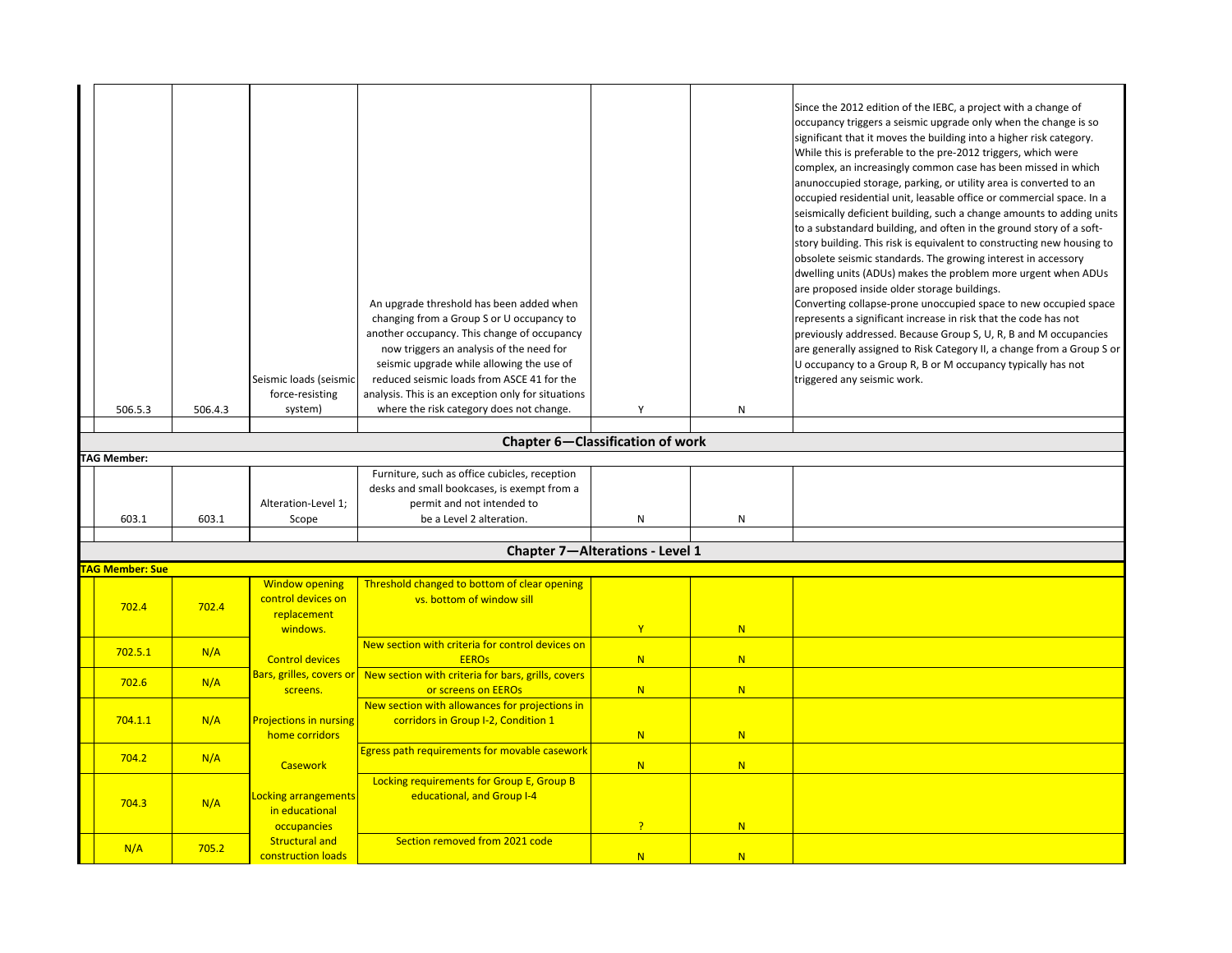|                        |         |                                                       | An upgrade threshold has been added when<br>changing from a Group S or U occupancy to<br>another occupancy. This change of occupancy<br>now triggers an analysis of the need for<br>seismic upgrade while allowing the use of |                                        |              | Since the 2012 edition of the IEBC, a project with a change of<br>occupancy triggers a seismic upgrade only when the change is so<br>significant that it moves the building into a higher risk category.<br>While this is preferable to the pre-2012 triggers, which were<br>complex, an increasingly common case has been missed in which<br>anunoccupied storage, parking, or utility area is converted to an<br>occupied residential unit, leasable office or commercial space. In a<br>seismically deficient building, such a change amounts to adding units<br>to a substandard building, and often in the ground story of a soft-<br>story building. This risk is equivalent to constructing new housing to<br>obsolete seismic standards. The growing interest in accessory<br>dwelling units (ADUs) makes the problem more urgent when ADUs<br>are proposed inside older storage buildings.<br>Converting collapse-prone unoccupied space to new occupied space<br>represents a significant increase in risk that the code has not<br>previously addressed. Because Group S, U, R, B and M occupancies<br>are generally assigned to Risk Category II, a change from a Group S or<br>U occupancy to a Group R, B or M occupancy typically has not |
|------------------------|---------|-------------------------------------------------------|-------------------------------------------------------------------------------------------------------------------------------------------------------------------------------------------------------------------------------|----------------------------------------|--------------|----------------------------------------------------------------------------------------------------------------------------------------------------------------------------------------------------------------------------------------------------------------------------------------------------------------------------------------------------------------------------------------------------------------------------------------------------------------------------------------------------------------------------------------------------------------------------------------------------------------------------------------------------------------------------------------------------------------------------------------------------------------------------------------------------------------------------------------------------------------------------------------------------------------------------------------------------------------------------------------------------------------------------------------------------------------------------------------------------------------------------------------------------------------------------------------------------------------------------------------------------------|
|                        |         | Seismic loads (seismic                                | reduced seismic loads from ASCE 41 for the                                                                                                                                                                                    |                                        |              | triggered any seismic work.                                                                                                                                                                                                                                                                                                                                                                                                                                                                                                                                                                                                                                                                                                                                                                                                                                                                                                                                                                                                                                                                                                                                                                                                                              |
| 506.5.3                | 506.4.3 | force-resisting<br>system)                            | analysis. This is an exception only for situations<br>where the risk category does not change.                                                                                                                                | Υ                                      | $\mathsf{N}$ |                                                                                                                                                                                                                                                                                                                                                                                                                                                                                                                                                                                                                                                                                                                                                                                                                                                                                                                                                                                                                                                                                                                                                                                                                                                          |
|                        |         |                                                       |                                                                                                                                                                                                                               |                                        |              |                                                                                                                                                                                                                                                                                                                                                                                                                                                                                                                                                                                                                                                                                                                                                                                                                                                                                                                                                                                                                                                                                                                                                                                                                                                          |
|                        |         |                                                       |                                                                                                                                                                                                                               | Chapter 6-Classification of work       |              |                                                                                                                                                                                                                                                                                                                                                                                                                                                                                                                                                                                                                                                                                                                                                                                                                                                                                                                                                                                                                                                                                                                                                                                                                                                          |
| <b>TAG Member:</b>     |         |                                                       |                                                                                                                                                                                                                               |                                        |              |                                                                                                                                                                                                                                                                                                                                                                                                                                                                                                                                                                                                                                                                                                                                                                                                                                                                                                                                                                                                                                                                                                                                                                                                                                                          |
| 603.1                  | 603.1   | Alteration-Level 1;<br>Scope                          | Furniture, such as office cubicles, reception<br>desks and small bookcases, is exempt from a<br>permit and not intended to<br>be a Level 2 alteration.                                                                        | N                                      | N            |                                                                                                                                                                                                                                                                                                                                                                                                                                                                                                                                                                                                                                                                                                                                                                                                                                                                                                                                                                                                                                                                                                                                                                                                                                                          |
|                        |         |                                                       |                                                                                                                                                                                                                               |                                        |              |                                                                                                                                                                                                                                                                                                                                                                                                                                                                                                                                                                                                                                                                                                                                                                                                                                                                                                                                                                                                                                                                                                                                                                                                                                                          |
|                        |         |                                                       |                                                                                                                                                                                                                               | <b>Chapter 7-Alterations - Level 1</b> |              |                                                                                                                                                                                                                                                                                                                                                                                                                                                                                                                                                                                                                                                                                                                                                                                                                                                                                                                                                                                                                                                                                                                                                                                                                                                          |
| <b>TAG Member: Sue</b> |         | <b>Window opening</b>                                 |                                                                                                                                                                                                                               |                                        |              |                                                                                                                                                                                                                                                                                                                                                                                                                                                                                                                                                                                                                                                                                                                                                                                                                                                                                                                                                                                                                                                                                                                                                                                                                                                          |
| 702.4                  | 702.4   | control devices on<br>replacement<br>windows.         | Threshold changed to bottom of clear opening<br>vs. bottom of window sill                                                                                                                                                     | $\mathbf{Y}$                           | N            |                                                                                                                                                                                                                                                                                                                                                                                                                                                                                                                                                                                                                                                                                                                                                                                                                                                                                                                                                                                                                                                                                                                                                                                                                                                          |
| 702.5.1                | N/A     | <b>Control devices</b>                                | New section with criteria for control devices on<br><b>EEROs</b>                                                                                                                                                              | N                                      | N            |                                                                                                                                                                                                                                                                                                                                                                                                                                                                                                                                                                                                                                                                                                                                                                                                                                                                                                                                                                                                                                                                                                                                                                                                                                                          |
| 702.6                  | N/A     | Bars, grilles, covers or<br>screens.                  | New section with criteria for bars, grills, covers<br>or screens on EEROs                                                                                                                                                     | N                                      | N            |                                                                                                                                                                                                                                                                                                                                                                                                                                                                                                                                                                                                                                                                                                                                                                                                                                                                                                                                                                                                                                                                                                                                                                                                                                                          |
| 704.1.1                | N/A     | <b>Projections in nursing</b><br>home corridors       | New section with allowances for projections in<br>corridors in Group I-2, Condition 1                                                                                                                                         | N                                      | N            |                                                                                                                                                                                                                                                                                                                                                                                                                                                                                                                                                                                                                                                                                                                                                                                                                                                                                                                                                                                                                                                                                                                                                                                                                                                          |
| 704.2                  | N/A     | <b>Casework</b>                                       | Egress path requirements for movable casework                                                                                                                                                                                 | N                                      | N            |                                                                                                                                                                                                                                                                                                                                                                                                                                                                                                                                                                                                                                                                                                                                                                                                                                                                                                                                                                                                                                                                                                                                                                                                                                                          |
| 704.3                  | N/A     | Locking arrangements<br>in educational<br>occupancies | Locking requirements for Group E, Group B<br>educational, and Group I-4                                                                                                                                                       | $\overline{?}$                         | N            |                                                                                                                                                                                                                                                                                                                                                                                                                                                                                                                                                                                                                                                                                                                                                                                                                                                                                                                                                                                                                                                                                                                                                                                                                                                          |
| N/A                    | 705.2   | <b>Structural and</b><br>construction loads           | Section removed from 2021 code                                                                                                                                                                                                | N                                      | N            |                                                                                                                                                                                                                                                                                                                                                                                                                                                                                                                                                                                                                                                                                                                                                                                                                                                                                                                                                                                                                                                                                                                                                                                                                                                          |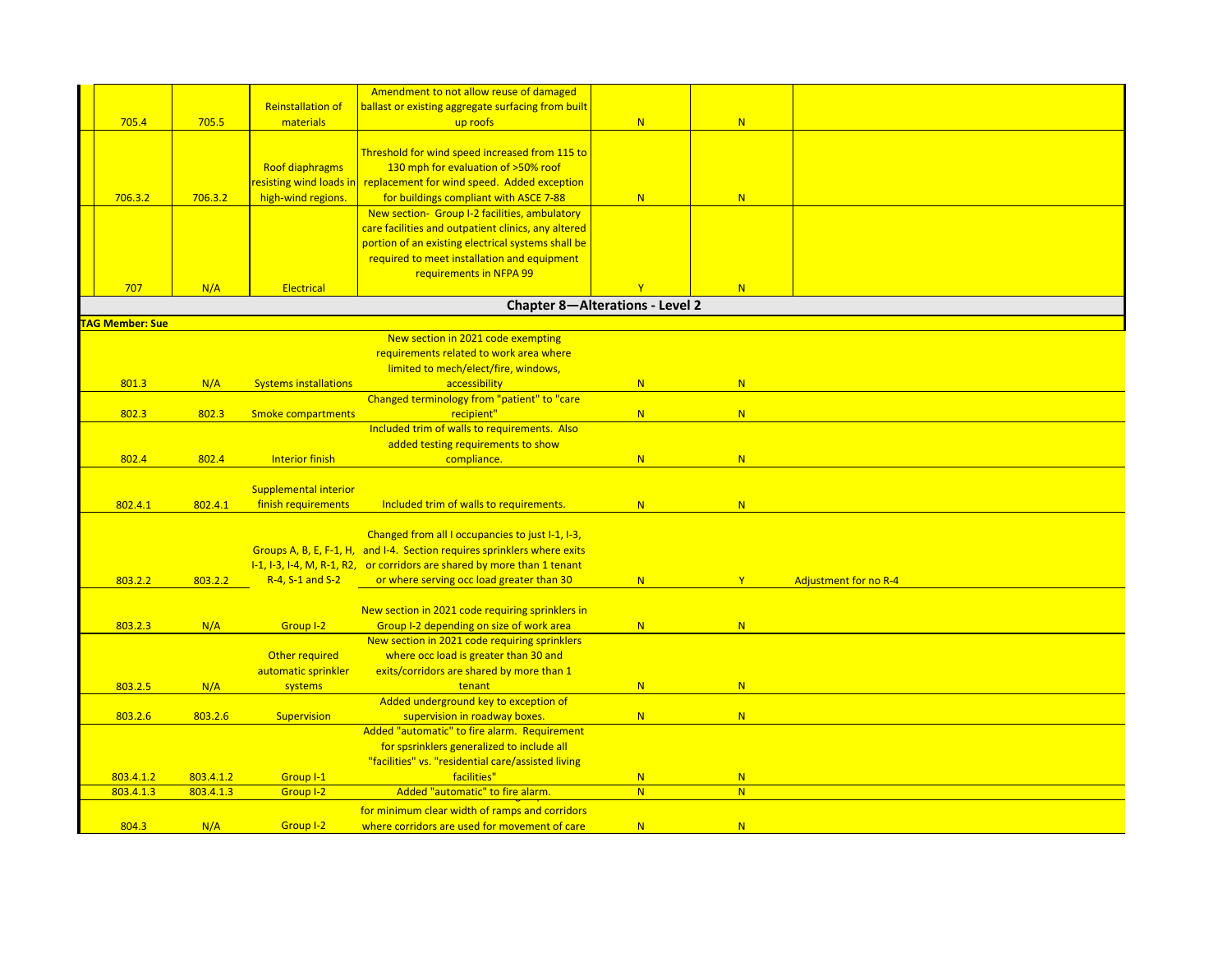|                       |           |                              | Amendment to not allow reuse of damaged                                  |                                 |   |                              |
|-----------------------|-----------|------------------------------|--------------------------------------------------------------------------|---------------------------------|---|------------------------------|
|                       |           | <b>Reinstallation of</b>     | ballast or existing aggregate surfacing from built                       |                                 |   |                              |
| 705.4                 | 705.5     | materials                    | up roofs                                                                 | N                               | N |                              |
|                       |           |                              |                                                                          |                                 |   |                              |
|                       |           |                              | Threshold for wind speed increased from 115 to                           |                                 |   |                              |
|                       |           | <b>Roof diaphragms</b>       | 130 mph for evaluation of >50% roof                                      |                                 |   |                              |
|                       |           |                              | resisting wind loads in replacement for wind speed. Added exception      |                                 |   |                              |
| 706.3.2               | 706.3.2   | high-wind regions.           | for buildings compliant with ASCE 7-88                                   | N                               | N |                              |
|                       |           |                              | New section- Group I-2 facilities, ambulatory                            |                                 |   |                              |
|                       |           |                              | care facilities and outpatient clinics, any altered                      |                                 |   |                              |
|                       |           |                              | portion of an existing electrical systems shall be                       |                                 |   |                              |
|                       |           |                              | required to meet installation and equipment                              |                                 |   |                              |
|                       |           |                              | requirements in NFPA 99                                                  |                                 |   |                              |
| 707                   | N/A       | Electrical                   |                                                                          | Y                               | N |                              |
|                       |           |                              |                                                                          | Chapter 8-Alterations - Level 2 |   |                              |
| <b>AG Member: Sue</b> |           |                              |                                                                          |                                 |   |                              |
|                       |           |                              | New section in 2021 code exempting                                       |                                 |   |                              |
|                       |           |                              | requirements related to work area where                                  |                                 |   |                              |
|                       |           |                              | limited to mech/elect/fire, windows,                                     |                                 |   |                              |
| 801.3                 | N/A       | <b>Systems installations</b> | accessibility                                                            | N                               | N |                              |
|                       |           |                              | Changed terminology from "patient" to "care                              |                                 |   |                              |
| 802.3                 | 802.3     | <b>Smoke compartments</b>    | recipient"                                                               | N                               | N |                              |
|                       |           |                              | Included trim of walls to requirements. Also                             |                                 |   |                              |
|                       |           |                              | added testing requirements to show                                       |                                 |   |                              |
| 802.4                 | 802.4     | <b>Interior finish</b>       | compliance.                                                              | N                               | N |                              |
|                       |           | Supplemental interior        |                                                                          |                                 |   |                              |
| 802.4.1               | 802.4.1   | finish requirements          | Included trim of walls to requirements.                                  | N                               | N |                              |
|                       |           |                              |                                                                          |                                 |   |                              |
|                       |           |                              | Changed from all I occupancies to just I-1, I-3,                         |                                 |   |                              |
|                       |           |                              | Groups A, B, E, F-1, H, and I-4. Section requires sprinklers where exits |                                 |   |                              |
|                       |           |                              | I-1, I-3, I-4, M, R-1, R2, or corridors are shared by more than 1 tenant |                                 |   |                              |
| 803.2.2               | 803.2.2   | R-4, S-1 and S-2             | or where serving occ load greater than 30                                | N                               | Y | <b>Adjustment for no R-4</b> |
|                       |           |                              |                                                                          |                                 |   |                              |
|                       |           |                              | New section in 2021 code requiring sprinklers in                         |                                 |   |                              |
| 803.2.3               | N/A       | Group I-2                    | Group I-2 depending on size of work area                                 | N                               | N |                              |
|                       |           |                              | New section in 2021 code requiring sprinklers                            |                                 |   |                              |
|                       |           | Other required               | where occ load is greater than 30 and                                    |                                 |   |                              |
|                       |           | automatic sprinkler          | exits/corridors are shared by more than 1                                |                                 |   |                              |
| 803.2.5               | N/A       | systems                      | tenant                                                                   | N                               | N |                              |
|                       |           |                              | Added underground key to exception of                                    |                                 |   |                              |
| 803.2.6               | 803.2.6   | Supervision                  | supervision in roadway boxes.                                            | N                               | N |                              |
|                       |           |                              | Added "automatic" to fire alarm. Requirement                             |                                 |   |                              |
|                       |           |                              | for spsrinklers generalized to include all                               |                                 |   |                              |
|                       |           |                              | "facilities" vs. "residential care/assisted living                       |                                 |   |                              |
| 803.4.1.2             | 803.4.1.2 | Group I-1                    | facilities"                                                              | N                               | N |                              |
| 803.4.1.3             | 803.4.1.3 | Group I-2                    | Added "automatic" to fire alarm.                                         | N                               | N |                              |
|                       |           |                              | for minimum clear width of ramps and corridors                           |                                 |   |                              |
| 804.3                 | N/A       | Group I-2                    | where corridors are used for movement of care                            | N                               | N |                              |
|                       |           |                              |                                                                          |                                 |   |                              |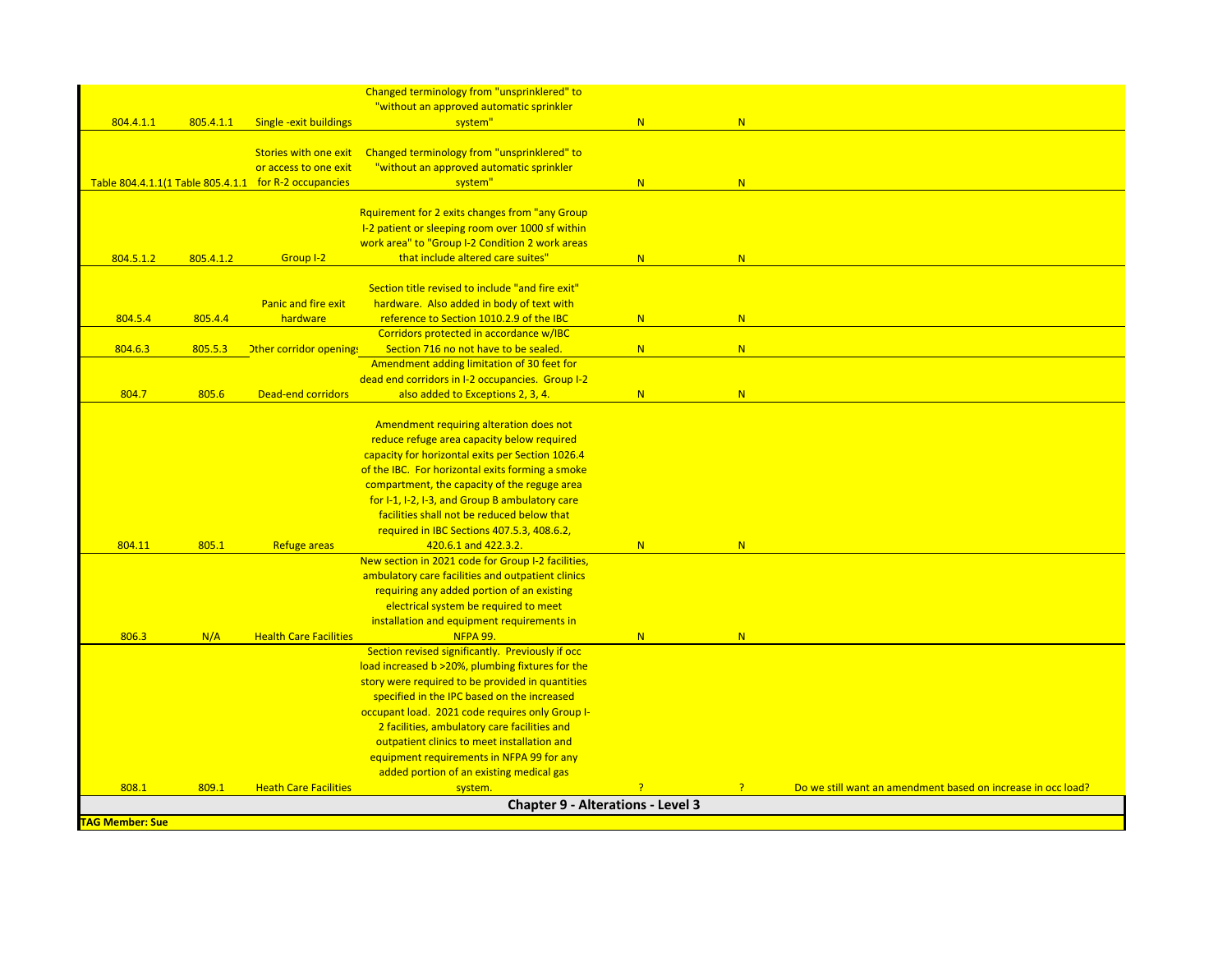|                        |           |                                                       | Changed terminology from "unsprinklered" to        |   |                |                                                              |
|------------------------|-----------|-------------------------------------------------------|----------------------------------------------------|---|----------------|--------------------------------------------------------------|
|                        |           |                                                       | "without an approved automatic sprinkler           |   |                |                                                              |
| 804.4.1.1              | 805.4.1.1 | Single - exit buildings                               | system"                                            | N | N.             |                                                              |
|                        |           |                                                       |                                                    |   |                |                                                              |
|                        |           | Stories with one exit                                 | Changed terminology from "unsprinklered" to        |   |                |                                                              |
|                        |           | or access to one exit                                 | "without an approved automatic sprinkler           |   |                |                                                              |
|                        |           | Table 804.4.1.1(1 Table 805.4.1.1 for R-2 occupancies | system"                                            | N | N.             |                                                              |
|                        |           |                                                       |                                                    |   |                |                                                              |
|                        |           |                                                       | Rquirement for 2 exits changes from "any Group     |   |                |                                                              |
|                        |           |                                                       | I-2 patient or sleeping room over 1000 sf within   |   |                |                                                              |
|                        |           |                                                       | work area" to "Group I-2 Condition 2 work areas    |   |                |                                                              |
| 804.5.1.2              | 805.4.1.2 | Group I-2                                             | that include altered care suites"                  | N | N              |                                                              |
|                        |           |                                                       | Section title revised to include "and fire exit"   |   |                |                                                              |
|                        |           | Panic and fire exit                                   | hardware. Also added in body of text with          |   |                |                                                              |
| 804.5.4                | 805.4.4   | hardware                                              | reference to Section 1010.2.9 of the IBC           | N | N              |                                                              |
|                        |           |                                                       | Corridors protected in accordance w/IBC            |   |                |                                                              |
| 804.6.3                | 805.5.3   |                                                       | Section 716 no not have to be sealed.              | N | N              |                                                              |
|                        |           | <b>Other corridor opening!</b>                        | Amendment adding limitation of 30 feet for         |   |                |                                                              |
|                        |           |                                                       | dead end corridors in I-2 occupancies. Group I-2   |   |                |                                                              |
| 804.7                  | 805.6     | <b>Dead-end corridors</b>                             | also added to Exceptions 2, 3, 4.                  | N | N              |                                                              |
|                        |           |                                                       |                                                    |   |                |                                                              |
|                        |           |                                                       | Amendment requiring alteration does not            |   |                |                                                              |
|                        |           |                                                       | reduce refuge area capacity below required         |   |                |                                                              |
|                        |           |                                                       | capacity for horizontal exits per Section 1026.4   |   |                |                                                              |
|                        |           |                                                       | of the IBC. For horizontal exits forming a smoke   |   |                |                                                              |
|                        |           |                                                       | compartment, the capacity of the reguge area       |   |                |                                                              |
|                        |           |                                                       | for I-1, I-2, I-3, and Group B ambulatory care     |   |                |                                                              |
|                        |           |                                                       | facilities shall not be reduced below that         |   |                |                                                              |
|                        |           |                                                       | required in IBC Sections 407.5.3, 408.6.2,         |   |                |                                                              |
| 804.11                 | 805.1     | <b>Refuge areas</b>                                   | 420.6.1 and 422.3.2.                               | N | N              |                                                              |
|                        |           |                                                       | New section in 2021 code for Group I-2 facilities, |   |                |                                                              |
|                        |           |                                                       | ambulatory care facilities and outpatient clinics  |   |                |                                                              |
|                        |           |                                                       | requiring any added portion of an existing         |   |                |                                                              |
|                        |           |                                                       | electrical system be required to meet              |   |                |                                                              |
|                        |           |                                                       | installation and equipment requirements in         |   |                |                                                              |
| 806.3                  | N/A       | <b>Health Care Facilities</b>                         | <b>NFPA 99.</b>                                    | N | N              |                                                              |
|                        |           |                                                       | Section revised significantly. Previously if occ   |   |                |                                                              |
|                        |           |                                                       | load increased b >20%, plumbing fixtures for the   |   |                |                                                              |
|                        |           |                                                       | story were required to be provided in quantities   |   |                |                                                              |
|                        |           |                                                       | specified in the IPC based on the increased        |   |                |                                                              |
|                        |           |                                                       | occupant load. 2021 code requires only Group I-    |   |                |                                                              |
|                        |           |                                                       | 2 facilities, ambulatory care facilities and       |   |                |                                                              |
|                        |           |                                                       | outpatient clinics to meet installation and        |   |                |                                                              |
|                        |           |                                                       | equipment requirements in NFPA 99 for any          |   |                |                                                              |
|                        |           |                                                       | added portion of an existing medical gas           |   |                |                                                              |
| 808.1                  | 809.1     | <b>Heath Care Facilities</b>                          | system.                                            |   | $\overline{P}$ | Do we still want an amendment based on increase in occ load? |
|                        |           |                                                       | <b>Chapter 9 - Alterations - Level 3</b>           |   |                |                                                              |
| <b>TAG Member: Sue</b> |           |                                                       |                                                    |   |                |                                                              |
|                        |           |                                                       |                                                    |   |                |                                                              |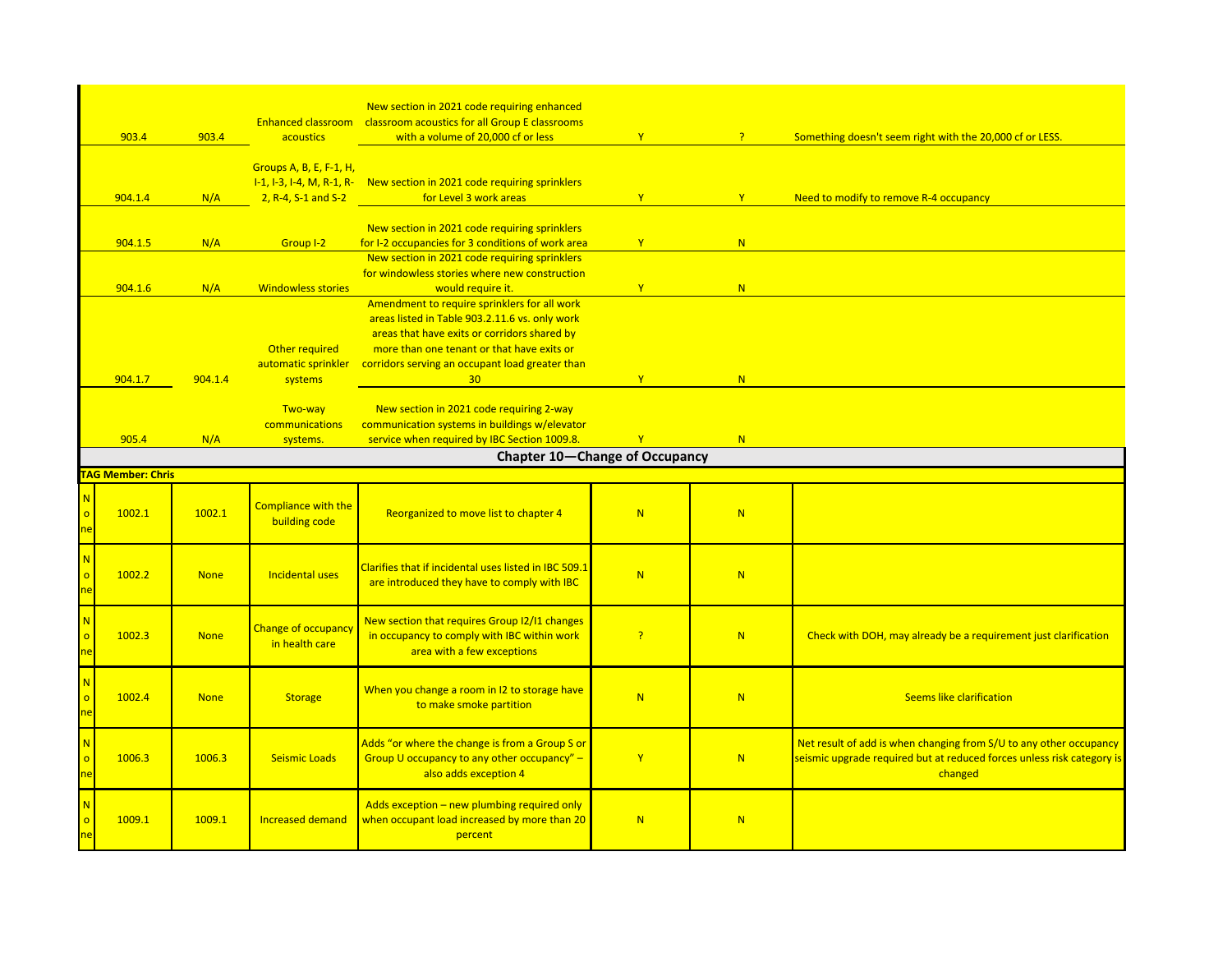|                                           |         |                          | <b>Enhanced classroom</b>                    | New section in 2021 code requiring enhanced<br>classroom acoustics for all Group E classrooms                              |              |                |                                                                                                                                                         |  |  |
|-------------------------------------------|---------|--------------------------|----------------------------------------------|----------------------------------------------------------------------------------------------------------------------------|--------------|----------------|---------------------------------------------------------------------------------------------------------------------------------------------------------|--|--|
|                                           | 903.4   | 903.4                    | acoustics                                    | with a volume of 20,000 cf or less                                                                                         | Y            | $\overline{P}$ | Something doesn't seem right with the 20,000 cf or LESS.                                                                                                |  |  |
|                                           |         |                          |                                              |                                                                                                                            |              |                |                                                                                                                                                         |  |  |
|                                           |         |                          | Groups A, B, E, F-1, H,                      | I-1, I-3, I-4, M, R-1, R- New section in 2021 code requiring sprinklers                                                    |              |                |                                                                                                                                                         |  |  |
|                                           | 904.1.4 | N/A                      | 2, R-4, S-1 and S-2                          | for Level 3 work areas                                                                                                     | $\mathbf{Y}$ | Y              | Need to modify to remove R-4 occupancy                                                                                                                  |  |  |
|                                           |         |                          |                                              |                                                                                                                            |              |                |                                                                                                                                                         |  |  |
|                                           |         |                          |                                              | New section in 2021 code requiring sprinklers                                                                              |              |                |                                                                                                                                                         |  |  |
|                                           | 904.1.5 | N/A                      | Group I-2                                    | for I-2 occupancies for 3 conditions of work area<br>New section in 2021 code requiring sprinklers                         | $\mathbf{Y}$ | N              |                                                                                                                                                         |  |  |
|                                           |         |                          |                                              | for windowless stories where new construction                                                                              |              |                |                                                                                                                                                         |  |  |
|                                           | 904.1.6 | N/A                      | <b>Windowless stories</b>                    | would require it.                                                                                                          | Y            | N              |                                                                                                                                                         |  |  |
|                                           |         |                          |                                              | Amendment to require sprinklers for all work                                                                               |              |                |                                                                                                                                                         |  |  |
|                                           |         |                          |                                              | areas listed in Table 903.2.11.6 vs. only work<br>areas that have exits or corridors shared by                             |              |                |                                                                                                                                                         |  |  |
|                                           |         |                          | Other required                               | more than one tenant or that have exits or                                                                                 |              |                |                                                                                                                                                         |  |  |
|                                           |         |                          | automatic sprinkler                          | corridors serving an occupant load greater than                                                                            |              |                |                                                                                                                                                         |  |  |
|                                           | 904.1.7 | 904.1.4                  | systems                                      | 30 <sup>°</sup>                                                                                                            | Y            | N              |                                                                                                                                                         |  |  |
|                                           |         |                          | Two-way                                      | New section in 2021 code requiring 2-way                                                                                   |              |                |                                                                                                                                                         |  |  |
|                                           |         |                          | communications                               | communication systems in buildings w/elevator                                                                              |              |                |                                                                                                                                                         |  |  |
|                                           | 905.4   | N/A                      | systems.                                     | service when required by IBC Section 1009.8.                                                                               | Y            | N              |                                                                                                                                                         |  |  |
|                                           |         |                          |                                              | <b>Chapter 10-Change of Occupancy</b>                                                                                      |              |                |                                                                                                                                                         |  |  |
|                                           |         | <b>TAG Member: Chris</b> |                                              |                                                                                                                            |              |                |                                                                                                                                                         |  |  |
|                                           |         |                          |                                              |                                                                                                                            |              |                |                                                                                                                                                         |  |  |
| <b>N</b><br>$\overline{\mathsf{o}}$<br>ne | 1002.1  | 1002.1                   | <b>Compliance with the</b><br>building code  | Reorganized to move list to chapter 4                                                                                      | N            | N              |                                                                                                                                                         |  |  |
|                                           |         |                          |                                              |                                                                                                                            |              |                |                                                                                                                                                         |  |  |
| N<br>$\circ$<br>ne                        | 1002.2  | <b>None</b>              | Incidental uses                              | Clarifies that if incidental uses listed in IBC 509.1<br>are introduced they have to comply with IBC                       | N            | N              |                                                                                                                                                         |  |  |
| <b>N</b><br>$\circ$<br>ne                 | 1002.3  | <b>None</b>              | <b>Change of occupancy</b><br>in health care | New section that requires Group 12/11 changes<br>in occupancy to comply with IBC within work<br>area with a few exceptions | P            | N              | Check with DOH, may already be a requirement just clarification                                                                                         |  |  |
| <b>N</b><br>$\circ$<br>ne                 | 1002.4  | <b>None</b>              | <b>Storage</b>                               | When you change a room in I2 to storage have<br>to make smoke partition                                                    | N            | N              | <b>Seems like clarification</b>                                                                                                                         |  |  |
| <b>N</b><br>$\circ$<br>ne                 | 1006.3  | 1006.3                   | <b>Seismic Loads</b>                         | Adds "or where the change is from a Group S or<br>Group U occupancy to any other occupancy" -<br>also adds exception 4     | $\mathbf{Y}$ | N              | Net result of add is when changing from S/U to any other occupancy<br>seismic upgrade required but at reduced forces unless risk category is<br>changed |  |  |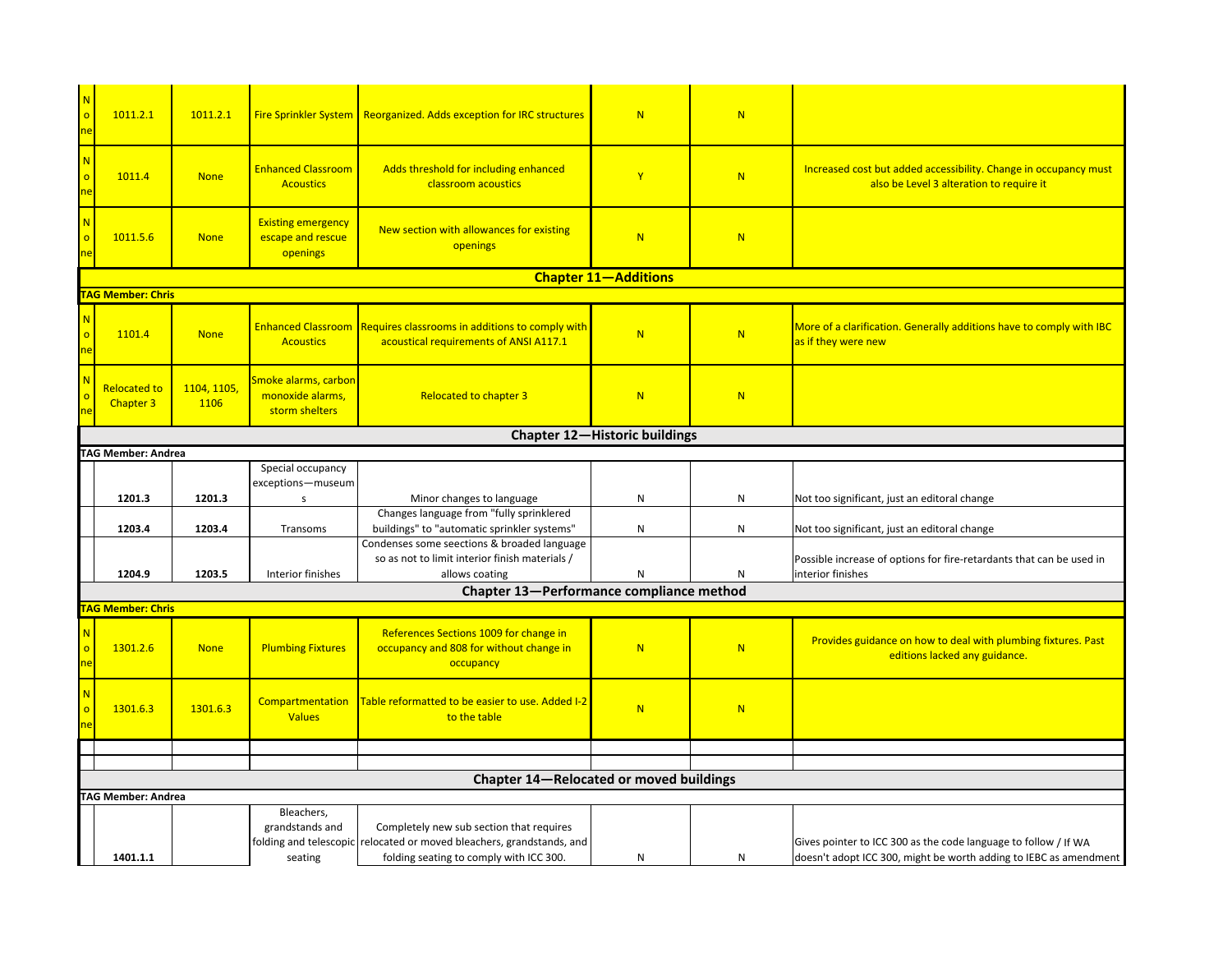| $\circ$      | 1011.2.1                                | 1011.2.1            |                                                            | <b>Fire Sprinkler System   Reorganized. Adds exception for IRC structures</b>                                                                                | N                           | N         |                                                                                                                                      |  |  |  |  |  |
|--------------|-----------------------------------------|---------------------|------------------------------------------------------------|--------------------------------------------------------------------------------------------------------------------------------------------------------------|-----------------------------|-----------|--------------------------------------------------------------------------------------------------------------------------------------|--|--|--|--|--|
| N<br>$\circ$ | 1011.4                                  | <b>None</b>         | <b>Enhanced Classroom</b><br><b>Acoustics</b>              | Adds threshold for including enhanced<br>classroom acoustics                                                                                                 | $\mathbf{Y}$                | N         | Increased cost but added accessibility. Change in occupancy must<br>also be Level 3 alteration to require it                         |  |  |  |  |  |
|              | 1011.5.6                                | <b>None</b>         | <b>Existing emergency</b><br>escape and rescue<br>openings | New section with allowances for existing<br>openings                                                                                                         | N                           | N         |                                                                                                                                      |  |  |  |  |  |
|              |                                         |                     |                                                            |                                                                                                                                                              | <b>Chapter 11-Additions</b> |           |                                                                                                                                      |  |  |  |  |  |
|              | <b>AG Member: Chris</b>                 |                     |                                                            |                                                                                                                                                              |                             |           |                                                                                                                                      |  |  |  |  |  |
|              | 1101.4                                  | <b>None</b>         | <b>Acoustics</b>                                           | Enhanced Classroom Requires classrooms in additions to comply with<br>acoustical requirements of ANSI A117.1                                                 | N                           | N         | More of a clarification. Generally additions have to comply with IBC<br>as if they were new                                          |  |  |  |  |  |
|              | <b>Relocated to</b><br><b>Chapter 3</b> | 1104, 1105,<br>1106 | Smoke alarms, carbon<br>monoxide alarms,<br>storm shelters | <b>Relocated to chapter 3</b>                                                                                                                                | N                           | N         |                                                                                                                                      |  |  |  |  |  |
|              | <b>Chapter 12-Historic buildings</b>    |                     |                                                            |                                                                                                                                                              |                             |           |                                                                                                                                      |  |  |  |  |  |
|              | TAG Member: Andrea                      |                     |                                                            |                                                                                                                                                              |                             |           |                                                                                                                                      |  |  |  |  |  |
|              |                                         |                     | Special occupancy                                          |                                                                                                                                                              |                             |           |                                                                                                                                      |  |  |  |  |  |
|              |                                         |                     | exceptions-museum                                          |                                                                                                                                                              |                             |           |                                                                                                                                      |  |  |  |  |  |
|              | 1201.3                                  | 1201.3              | s                                                          | Minor changes to language                                                                                                                                    | ${\sf N}$                   | N         | Not too significant, just an editoral change                                                                                         |  |  |  |  |  |
|              |                                         |                     |                                                            | Changes language from "fully sprinklered                                                                                                                     |                             | ${\sf N}$ |                                                                                                                                      |  |  |  |  |  |
|              | 1203.4                                  | 1203.4              | Transoms                                                   | buildings" to "automatic sprinkler systems"<br>Condenses some seections & broaded language                                                                   | ${\sf N}$                   |           | Not too significant, just an editoral change                                                                                         |  |  |  |  |  |
|              |                                         |                     |                                                            | so as not to limit interior finish materials /                                                                                                               |                             |           | Possible increase of options for fire-retardants that can be used in                                                                 |  |  |  |  |  |
|              | 1204.9                                  | 1203.5              | Interior finishes                                          | allows coating                                                                                                                                               | N                           | ${\sf N}$ | interior finishes                                                                                                                    |  |  |  |  |  |
|              |                                         |                     |                                                            | Chapter 13-Performance compliance method                                                                                                                     |                             |           |                                                                                                                                      |  |  |  |  |  |
|              | <b>AG Member: Chris</b>                 |                     |                                                            |                                                                                                                                                              |                             |           |                                                                                                                                      |  |  |  |  |  |
|              | 1301.2.6                                | <b>None</b>         | <b>Plumbing Fixtures</b>                                   | References Sections 1009 for change in<br>occupancy and 808 for without change in<br>occupancy                                                               | N                           | N         | Provides guidance on how to deal with plumbing fixtures. Past<br>editions lacked any guidance.                                       |  |  |  |  |  |
|              | 1301.6.3                                | 1301.6.3            | Compartmentation<br><b>Values</b>                          | Table reformatted to be easier to use. Added I-2<br>to the table                                                                                             | N                           | N         |                                                                                                                                      |  |  |  |  |  |
|              |                                         |                     |                                                            |                                                                                                                                                              |                             |           |                                                                                                                                      |  |  |  |  |  |
|              |                                         |                     |                                                            |                                                                                                                                                              |                             |           |                                                                                                                                      |  |  |  |  |  |
|              |                                         |                     |                                                            | Chapter 14-Relocated or moved buildings                                                                                                                      |                             |           |                                                                                                                                      |  |  |  |  |  |
|              | <b>TAG Member: Andrea</b>               |                     | Bleachers,                                                 |                                                                                                                                                              |                             |           |                                                                                                                                      |  |  |  |  |  |
|              | 1401.1.1                                |                     | grandstands and<br>seating                                 | Completely new sub section that requires<br>folding and telescopic relocated or moved bleachers, grandstands, and<br>folding seating to comply with ICC 300. | N                           | ${\sf N}$ | Gives pointer to ICC 300 as the code language to follow / If WA<br>doesn't adopt ICC 300, might be worth adding to IEBC as amendment |  |  |  |  |  |